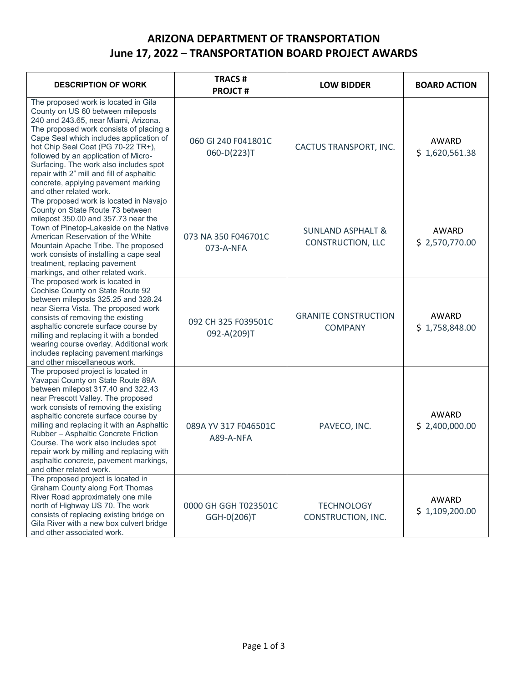## **ARIZONA DEPARTMENT OF TRANSPORTATION June 17, 2022 – TRANSPORTATION BOARD PROJECT AWARDS**

| <b>DESCRIPTION OF WORK</b>                                                                                                                                                                                                                                                                                                                                                                                                                                                           | <b>TRACS#</b><br><b>PROJCT#</b>     | <b>LOW BIDDER</b>                                        | <b>BOARD ACTION</b>     |
|--------------------------------------------------------------------------------------------------------------------------------------------------------------------------------------------------------------------------------------------------------------------------------------------------------------------------------------------------------------------------------------------------------------------------------------------------------------------------------------|-------------------------------------|----------------------------------------------------------|-------------------------|
| The proposed work is located in Gila<br>County on US 60 between mileposts<br>240 and 243.65, near Miami, Arizona.<br>The proposed work consists of placing a<br>Cape Seal which includes application of<br>hot Chip Seal Coat (PG 70-22 TR+),<br>followed by an application of Micro-<br>Surfacing. The work also includes spot<br>repair with 2" mill and fill of asphaltic<br>concrete, applying pavement marking<br>and other related work.                                       | 060 GI 240 F041801C<br>060-D(223)T  | CACTUS TRANSPORT, INC.                                   | AWARD<br>\$1,620,561.38 |
| The proposed work is located in Navajo<br>County on State Route 73 between<br>milepost 350.00 and 357.73 near the<br>Town of Pinetop-Lakeside on the Native<br>American Reservation of the White<br>Mountain Apache Tribe. The proposed<br>work consists of installing a cape seal<br>treatment, replacing pavement<br>markings, and other related work.                                                                                                                             | 073 NA 350 F046701C<br>073-A-NFA    | <b>SUNLAND ASPHALT &amp;</b><br><b>CONSTRUCTION, LLC</b> | AWARD<br>\$2,570,770.00 |
| The proposed work is located in<br>Cochise County on State Route 92<br>between mileposts 325.25 and 328.24<br>near Sierra Vista. The proposed work<br>consists of removing the existing<br>asphaltic concrete surface course by<br>milling and replacing it with a bonded<br>wearing course overlay. Additional work<br>includes replacing pavement markings<br>and other miscellaneous work.                                                                                        | 092 CH 325 F039501C<br>092-A(209)T  | <b>GRANITE CONSTRUCTION</b><br><b>COMPANY</b>            | AWARD<br>\$1,758,848.00 |
| The proposed project is located in<br>Yavapai County on State Route 89A<br>between milepost 317.40 and 322.43<br>near Prescott Valley. The proposed<br>work consists of removing the existing<br>asphaltic concrete surface course by<br>milling and replacing it with an Asphaltic<br>Rubber - Asphaltic Concrete Friction<br>Course. The work also includes spot<br>repair work by milling and replacing with<br>asphaltic concrete, pavement markings,<br>and other related work. | 089A YV 317 F046501C<br>A89-A-NFA   | PAVECO, INC.                                             | AWARD<br>\$2,400,000.00 |
| The proposed project is located in<br><b>Graham County along Fort Thomas</b><br>River Road approximately one mile<br>north of Highway US 70. The work<br>consists of replacing existing bridge on<br>Gila River with a new box culvert bridge<br>and other associated work.                                                                                                                                                                                                          | 0000 GH GGH T023501C<br>GGH-0(206)T | <b>TECHNOLOGY</b><br>CONSTRUCTION, INC.                  | AWARD<br>\$1,109,200.00 |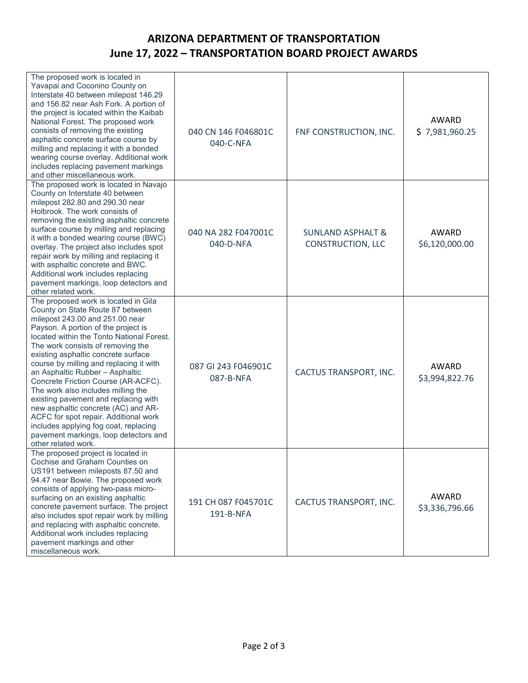## **ARIZONA DEPARTMENT OF TRANSPORTATION June 17, 2022 – TRANSPORTATION BOARD PROJECT AWARDS**

| The proposed work is located in<br>Yavapai and Coconino County on<br>Interstate 40 between milepost 146.29<br>and 156.82 near Ash Fork. A portion of<br>the project is located within the Kaibab<br>National Forest. The proposed work<br>consists of removing the existing<br>asphaltic concrete surface course by<br>milling and replacing it with a bonded<br>wearing course overlay. Additional work<br>includes replacing pavement markings<br>and other miscellaneous work.                                                                                                                                                                                       | 040 CN 146 F046801C<br>040-C-NFA | FNF CONSTRUCTION, INC.                                   | AWARD<br>\$7,981,960.25        |
|-------------------------------------------------------------------------------------------------------------------------------------------------------------------------------------------------------------------------------------------------------------------------------------------------------------------------------------------------------------------------------------------------------------------------------------------------------------------------------------------------------------------------------------------------------------------------------------------------------------------------------------------------------------------------|----------------------------------|----------------------------------------------------------|--------------------------------|
| The proposed work is located in Navajo<br>County on Interstate 40 between<br>milepost 282.80 and 290.30 near<br>Holbrook. The work consists of<br>removing the existing asphaltic concrete<br>surface course by milling and replacing<br>it with a bonded wearing course (BWC)<br>overlay. The project also includes spot<br>repair work by milling and replacing it<br>with asphaltic concrete and BWC.<br>Additional work includes replacing<br>pavement markings, loop detectors and<br>other related work.                                                                                                                                                          | 040 NA 282 F047001C<br>040-D-NFA | <b>SUNLAND ASPHALT &amp;</b><br><b>CONSTRUCTION, LLC</b> | AWARD<br>\$6,120,000.00        |
| The proposed work is located in Gila<br>County on State Route 87 between<br>milepost 243.00 and 251.00 near<br>Payson. A portion of the project is<br>located within the Tonto National Forest.<br>The work consists of removing the<br>existing asphaltic concrete surface<br>course by milling and replacing it with<br>an Asphaltic Rubber - Asphaltic<br>Concrete Friction Course (AR-ACFC).<br>The work also includes milling the<br>existing pavement and replacing with<br>new asphaltic concrete (AC) and AR-<br>ACFC for spot repair. Additional work<br>includes applying fog coat, replacing<br>pavement markings, loop detectors and<br>other related work. | 087 GI 243 F046901C<br>087-B-NFA | CACTUS TRANSPORT, INC.                                   | AWARD<br>\$3,994,822.76        |
| The proposed project is located in<br>Cochise and Graham Counties on<br>US191 between mileposts 87.50 and<br>94.47 near Bowie. The proposed work<br>consists of applying two-pass micro-<br>surfacing on an existing asphaltic<br>concrete pavement surface. The project<br>also includes spot repair work by milling<br>and replacing with asphaltic concrete.<br>Additional work includes replacing<br>pavement markings and other<br>miscellaneous work.                                                                                                                                                                                                             | 191 CH 087 F045701C<br>191-B-NFA | CACTUS TRANSPORT, INC.                                   | <b>AWARD</b><br>\$3,336,796.66 |